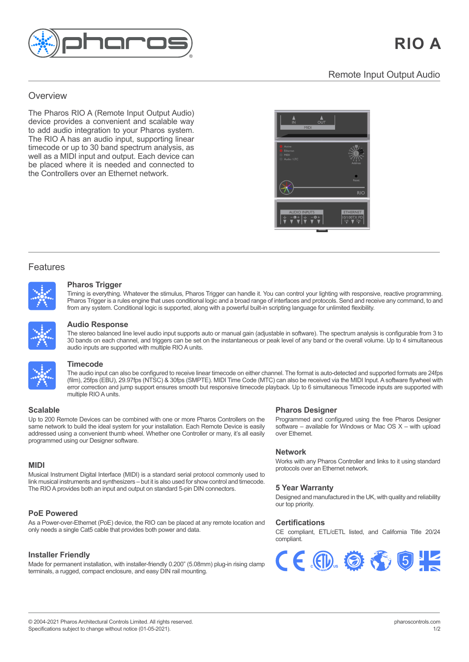

# Remote Input Output Audio Remote Input Output Audio

### Overview **Overview** an award-winning, all-in-one control solution for

<u>overviewe ver</u>

The Pharos RIO A (Remote Input Output Audio) device provides a convenient and scalable way to add audio integration to your Pharos system. The RIO A has an audio input, supporting linear customisable pre-programmed lighting effects timecode or up to 30 band spectrum analysis, as timecode or up to 30 band spectrum analysis, as white the freedom of realisting products and supplies well as a MIDI input and output. Each device can world at which in patients output. Each dowed can<br>be placed where it is needed and connected to be placed where it is needed and conne<br>the Controllers over an Ethernet network.



## Features

Features and the second



#### $t_i = t_i$  build dynamic, precise, fully customisable pre-programmed lighting dynamic, all while giving  $\alpha$ real-time manual overrides, flexible multi-zone control, prioritisation and more. **Pharos Trigger** Pharos Trigger is a rules engine that uses conditional logic and a broad range of interfaces and protocols. Send and receive any command, to

Pharos Trigger is a rules engine that uses conditional logic and a broad range of interfaces and protocols. Send and receive any command, to and<br>from any quotam. Conditional logic is aumented, clear with a powerful built i from any system. Conditional logic is supported, along with a powerful built-in scripting language for unlimited flexibility. Timing is everything. Whatever the stimulus, Pharos Trigger can handle it. You can control your lighting with responsive, reactive programming.



#### visually striking effects or play video across the entire array. Powerful controls allow you to build maps fast with pixel-precise adjustment. Multiple maps can be created to support different zones or for modelling different views of your installation. **Audio Response** audio inputs are supported with multiple RIO Aunits. to 30 bands on each channel, and triggers can be set on the instantaneous or peak level of any band or the overall volume. Up to 4 simultaneous

**Pharos Trigger** 30 bands on each channel, and triggers can be set on the instantaneous or peak level of any band or the overall volume. Up to 4 simultaneous **Timecode** audio inputs are supported with multiple RIO A units. The stereo balanced line level audio input supports auto or manual gain (adjustable in software). The spectrum analysis is configurable from 3 to



#### and from any system. Conditional logic is supported, along with a powerful built-in scripting language for unlimited flexibility. The powerful built-in scripting language for unlimited flexibility. The second flexibility. **Timecode** where  $\mathbf{c}$  and  $\mathbf{c}$  is smooth but responsive timecode playback. Up to 6 simultaneous Timecode inputs are playback. Up to 6 simultaneous Timecode inputs are playback. Up to 6 simultaneous Timecode inputs are playba

multiple RIO A units. The seamless can be search as a behavior of the seamless can be search as  $\sim$  $t_{\rm c}$  as one via a standard Ethernet network giving impressive scalability. For  $t_{\rm c}$ **Pharos Designer** (film), 25fps (EBU), 29.97fps (NTSC) & 30fps (SMPTE). MIDI Time Code (MTC) can also be received via the MIDI Input. A software flywheel with error correction and jump support ensures smooth but responsive timecode playback. Up to 6 simultaneous Timecode inputs are supported with multiple RIO A units upont ensures smooth but responsive timecode playback. Up to 6  $\ldots$ Up to 200 Remote Devices can be computed with one or more parties with our more Pharos Controllers on the control on the more Pharos Controllers on the control of the control of the control of the control of the control of  $\frac{1}{2}$  install to build the ideal system for  $\frac{1}{2}$ an also <del>be receiveu</del> v<br>Pock I In to 6 cimulton Programmed and configured using the free Pharos Designer

#### additional integration options simply add Remote Devices to further extend the network. Whether one Controller or many, it's all easily programmed using our Designer software. addressed using a convenient thumb wheel. Whether one Controller or many, it's all easily programmed using our Designer software.

same network to pulid the ideal system for your instaliation. Each Remote Device is easily<br>addressed using a convenient thumb wheel. Whether one Controller or many, it's all easily Be limited by your design by your design brief, not you control system. Our products support a vast result of the system of the system of the system of the system of the system. Our products support and the system of the s programmed using our Designer software. Up to 200 Remote Devices can be combined with one or more Pharos Controllers on the same network to build the ideal system for your installation. Each Remote Device is easily timecode. The RIO Aprovides both an input and output on standard 5-pin DIN connectors.

## **MIDI**

------<br>Musical Instrument Digital Interface (MIDI) is a standard serial protocol commonly used to link musical instruments and synthesizers – but it is also used for show control and timecode.<br>The PIO Americal is hellow insult on a structure to a templant Fails PIN compactors. The RIO A provides both an input and output on standard 5-pin DIN connectors.

## **PoE Powered**

**Custom Interfaces** As a Power-over-Ethernet (PoE) device, the RIO can be placed at any remote location and only needs a single Cat5 cable that provides both power and data. need and the look they expect. Our built-in web server supports an extensive JavaScript

## **Installer Friendly**

Made for permanent installation, with installer-friendly 0.200" (5.08mm) plug-in rising clamp terminals, a rugged, compact enclosure, and easy DIN rail mounting.

## **Scalable Pharos Designer**

**Religion Programmed and configured using the free Pharos Designer of the configured using the free Pharos Designer** software – available for Windows or Mac OS X – with upload  $\alpha$  $\sigma$  and  $\sigma$  and  $\sigma$  and  $\sigma$  24/77  $\sigma$  24/77  $\sigma$  24/77  $\sigma$  24/77  $\sigma$  24/77  $\sigma$  24/77  $\sigma$  24/77  $\sigma$  24/77  $\sigma$  24/77  $\sigma$  24/77  $\sigma$  24/77  $\sigma$  24/77  $\sigma$  24/77  $\sigma$  24/77  $\sigma$  24/77  $\sigma$  24/77  $\sigma$  24/77  $\sigma$  24 over Ethernet.

### **Network** Designed and manufactured in the UK, with quality and

Works with any Pharos Controller and links to it using standard protocols over an Ethernet network.

# **5 Year Warranty**

Designed and manufactured in the UK, with quality and Designed and manufactured in the UK, with quality and reliability our top priority.

## **Certifications Certifications**

CE compliant, ETL/cETL listed, and California Title 20/24 CE compliant, ETL/cETL listed, and California Title 20/24 compliant. compliant.